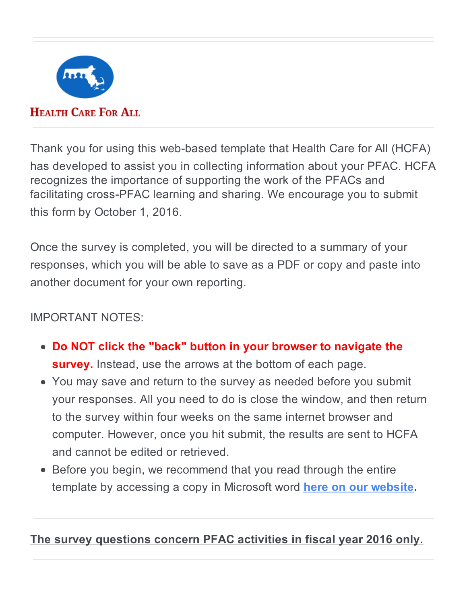

# **HEALTH CARE FOR ALL**

Thank you for using this web-based template that Health Care for All (HCFA) has developed to assist you in collecting information about your PFAC. HCFA recognizes the importance of supporting the work of the PFACs and facilitating cross-PFAC learning and sharing. We encourage you to submit this form by October 1, 2016.

Once the survey is completed, you will be directed to a summary of your responses, which you will be able to save as a PDF or copy and paste into another document for your own reporting.

# IMPORTANT NOTES:

- **Do NOT click the "back" button in your browser to navigate the survey.** Instead, use the arrows at the bottom of each page.
- You may save and return to the survey as needed before you submit your responses. All you need to do is close the window, and then return to the survey within four weeks on the same internet browser and computer. However, once you hit submit, the results are sent to HCFA and cannot be edited or retrieved.
- Before you begin, we recommend that you read through the entire template by accessing a copy in Microsoft word **here on our [website](http://www.hcfama.org/patient-and-family-advisory-councils-pfacs).**

## **The survey questions concern PFAC activities in fiscal year 2016 only.**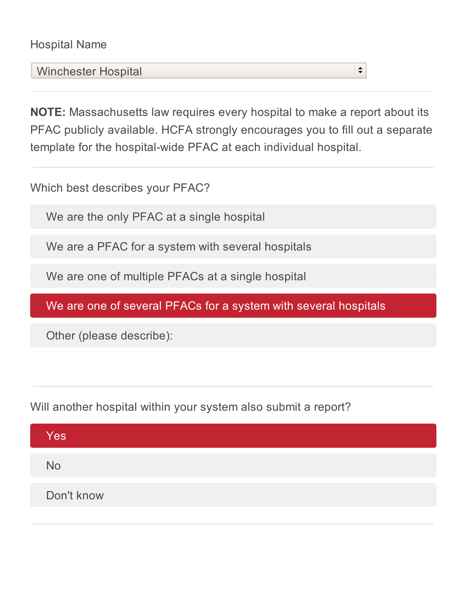## Hospital Name

Winchester Hospital

**NOTE:** Massachusetts law requires every hospital to make a report about its PFAC publicly available. HCFA strongly encourages you to fill out a separate template for the hospital-wide PFAC at each individual hospital.

 $\div$ 

Which best describes your PFAC?

We are the only PFAC at a single hospital

We are a PFAC for a system with several hospitals

We are one of multiple PFACs at a single hospital

We are one of several PFACs for a system with several hospitals

Other (please describe):

Will another hospital within your system also submit a report?

| Yes        |  |  |  |
|------------|--|--|--|
| <b>No</b>  |  |  |  |
| Don't know |  |  |  |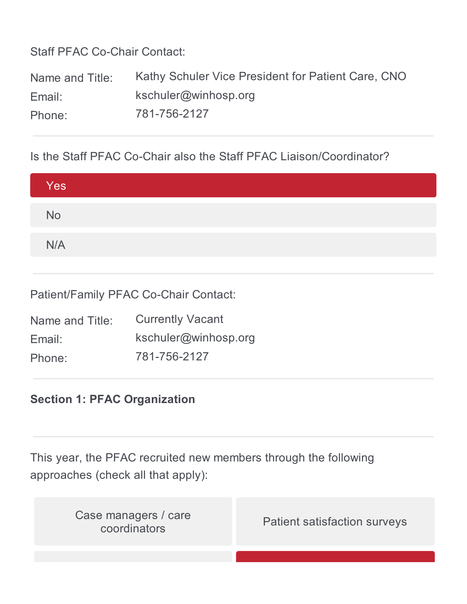Staff PFAC Co-Chair Contact:

Name and Title: Kathy Schuler Vice President for Patient Care, CNO Email: kschuler@winhosp.org Phone: 781-756-2127

Is the Staff PFAC Co-Chair also the Staff PFAC Liaison/Coordinator?

| Yes       |  |  |  |
|-----------|--|--|--|
| <b>No</b> |  |  |  |
| N/A       |  |  |  |

Patient/Family PFAC Co-Chair Contact:

| Name and Title: | <b>Currently Vacant</b> |
|-----------------|-------------------------|
| Email:          | kschuler@winhosp.org    |
| Phone:          | 781-756-2127            |

## **Section 1: PFAC Organization**

This year, the PFAC recruited new members through the following approaches (check all that apply):

| Case managers / care<br>coordinators | <b>Patient satisfaction surveys</b> |
|--------------------------------------|-------------------------------------|
|                                      |                                     |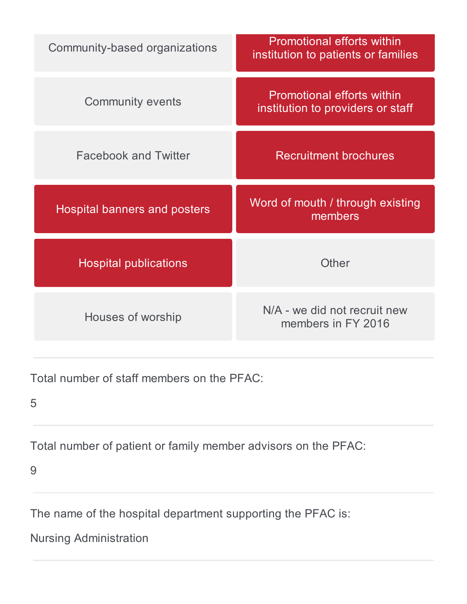| Community-based organizations       | <b>Promotional efforts within</b><br>institution to patients or families |
|-------------------------------------|--------------------------------------------------------------------------|
| <b>Community events</b>             | <b>Promotional efforts within</b><br>institution to providers or staff   |
| <b>Facebook and Twitter</b>         | <b>Recruitment brochures</b>                                             |
| <b>Hospital banners and posters</b> | Word of mouth / through existing<br>members                              |
| <b>Hospital publications</b>        | Other                                                                    |
| Houses of worship                   | N/A - we did not recruit new<br>members in FY 2016                       |

Total number of staff members on the PFAC:

5

Total number of patient or family member advisors on the PFAC:

9

The name of the hospital department supporting the PFAC is:

Nursing Administration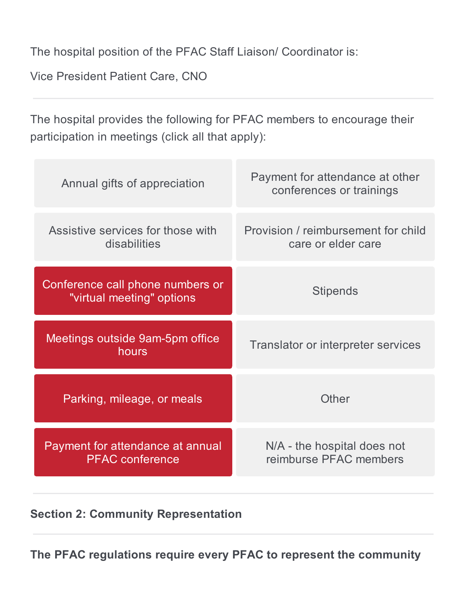The hospital position of the PFAC Staff Liaison/ Coordinator is:

Vice President Patient Care, CNO

The hospital provides the following for PFAC members to encourage their participation in meetings (click all that apply):

| Annual gifts of appreciation                                  | Payment for attendance at other<br>conferences or trainings |
|---------------------------------------------------------------|-------------------------------------------------------------|
| Assistive services for those with<br>disabilities             | Provision / reimbursement for child<br>care or elder care   |
| Conference call phone numbers or<br>"virtual meeting" options | <b>Stipends</b>                                             |
| Meetings outside 9am-5pm office<br>hours                      | Translator or interpreter services                          |
| Parking, mileage, or meals                                    | Other                                                       |
| Payment for attendance at annual<br><b>PFAC</b> conference    | N/A - the hospital does not<br>reimburse PFAC members       |

**Section 2: Community Representation**

**The PFAC regulations require every PFAC to represent the community**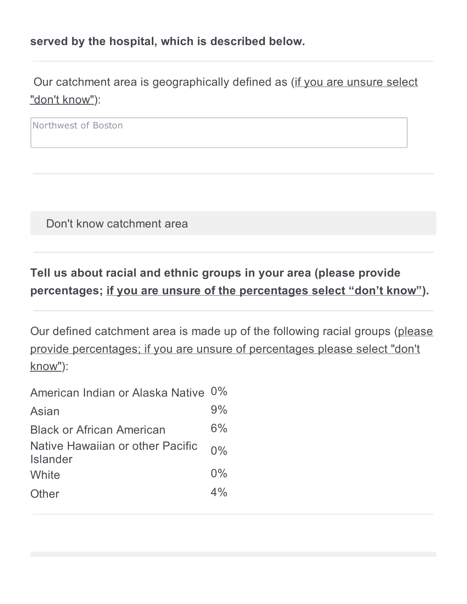### **served by the hospital, which is described below.**

Our catchment area is geographically defined as (if you are unsure select "don't know"):

Northwest of Boston

Don't know catchment area

# **Tell us about racial and ethnic groups in your area (please provide percentages; if you are unsure of the percentages select "don't know").**

Our defined catchment area is made up of the following racial groups (please provide percentages; if you are unsure of percentages please select "don't know"):

| American Indian or Alaska Native 0%                 |       |
|-----------------------------------------------------|-------|
| Asian                                               | 9%    |
| <b>Black or African American</b>                    | 6%    |
| Native Hawaiian or other Pacific<br><b>Islander</b> | $0\%$ |
| White                                               | $0\%$ |
| Other                                               | 4%    |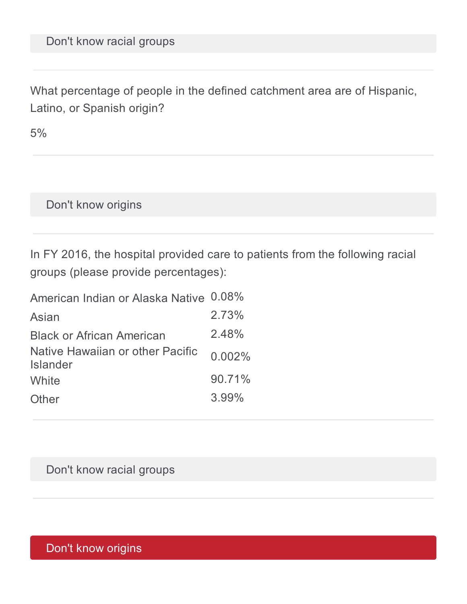What percentage of people in the defined catchment area are of Hispanic, Latino, or Spanish origin?

5%

Don't know origins

In FY 2016, the hospital provided care to patients from the following racial groups (please provide percentages):

| American Indian or Alaska Native 0.08%              |        |
|-----------------------------------------------------|--------|
| Asian                                               | 2.73%  |
| <b>Black or African American</b>                    | 2.48%  |
| Native Hawaiian or other Pacific<br><b>Islander</b> | 0.002% |
| White                                               | 90.71% |
| Other                                               | 3.99%  |

Don't know racial groups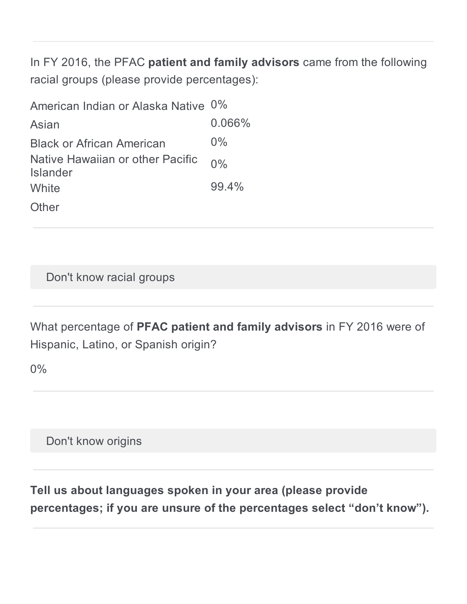In FY 2016, the PFAC **patient and family advisors** came from the following racial groups (please provide percentages):

| American Indian or Alaska Native 0%                 |           |
|-----------------------------------------------------|-----------|
| Asian                                               | $0.066\%$ |
| <b>Black or African American</b>                    | $0\%$     |
| Native Hawaiian or other Pacific<br><b>Islander</b> | $0\%$     |
| White                                               | 99.4%     |
| Other                                               |           |

Don't know racial groups

What percentage of **PFAC patient and family advisors** in FY 2016 were of Hispanic, Latino, or Spanish origin?

0%

Don't know origins

**Tell us about languages spoken in your area (please provide percentages; if you are unsure of the percentages select "don't know").**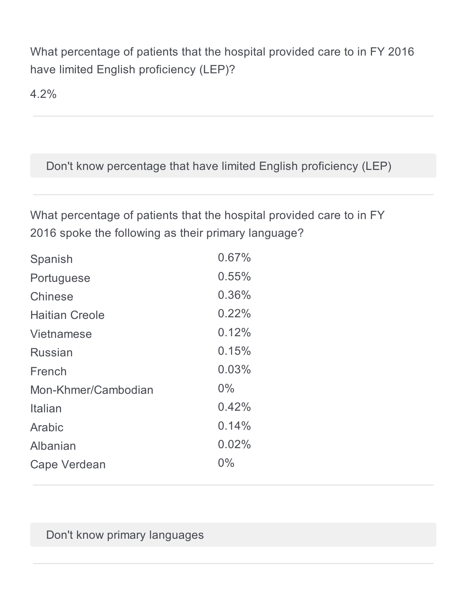What percentage of patients that the hospital provided care to in FY 2016 have limited English proficiency (LEP)?

4.2%

Don't know percentage that have limited English proficiency (LEP)

What percentage of patients that the hospital provided care to in FY 2016 spoke the following as their primary language?

| Spanish               | 0.67% |
|-----------------------|-------|
| Portuguese            | 0.55% |
| Chinese               | 0.36% |
| <b>Haitian Creole</b> | 0.22% |
| Vietnamese            | 0.12% |
| Russian               | 0.15% |
| French                | 0.03% |
| Mon-Khmer/Cambodian   | $0\%$ |
| Italian               | 0.42% |
| Arabic                | 0.14% |
| Albanian              | 0.02% |
| Cape Verdean          | $0\%$ |
|                       |       |

Don't know primary languages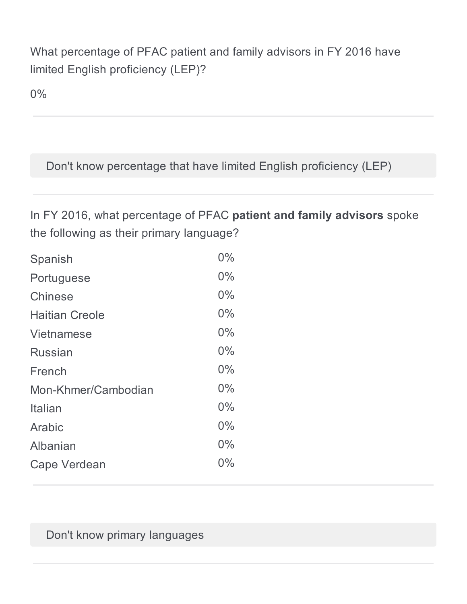# What percentage of PFAC patient and family advisors in FY 2016 have limited English proficiency (LEP)?

0%

Don't know percentage that have limited English proficiency (LEP)

In FY 2016, what percentage of PFAC **patient and family advisors** spoke the following as their primary language?

| Spanish               | 0%    |
|-----------------------|-------|
| Portuguese            | 0%    |
| Chinese               | $0\%$ |
| <b>Haitian Creole</b> | $0\%$ |
| Vietnamese            | 0%    |
| <b>Russian</b>        | $0\%$ |
| French                | 0%    |
| Mon-Khmer/Cambodian   | $0\%$ |
| Italian               | 0%    |
| Arabic                | $0\%$ |
| Albanian              | $0\%$ |
| Cape Verdean          | $0\%$ |

Don't know primary languages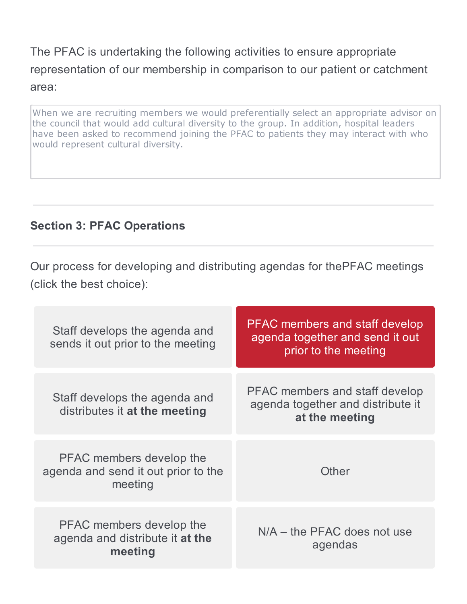The PFAC is undertaking the following activities to ensure appropriate representation of our membership in comparison to our patient or catchment area:

When we are recruiting members we would preferentially select an appropriate advisor on the council that would add cultural diversity to the group. In addition, hospital leaders have been asked to recommend joining the PFAC to patients they may interact with who would represent cultural diversity.

## **Section 3: PFAC Operations**

Our process for developing and distributing agendas for thePFAC meetings (click the best choice):

| Staff develops the agenda and<br>sends it out prior to the meeting            | <b>PFAC</b> members and staff develop<br>agenda together and send it out<br>prior to the meeting |
|-------------------------------------------------------------------------------|--------------------------------------------------------------------------------------------------|
| Staff develops the agenda and<br>distributes it at the meeting                | <b>PFAC members and staff develop</b><br>agenda together and distribute it<br>at the meeting     |
| PFAC members develop the<br>agenda and send it out prior to the<br>meeting    | Other                                                                                            |
| <b>PFAC</b> members develop the<br>agenda and distribute it at the<br>meeting | $N/A$ – the PFAC does not use<br>agendas                                                         |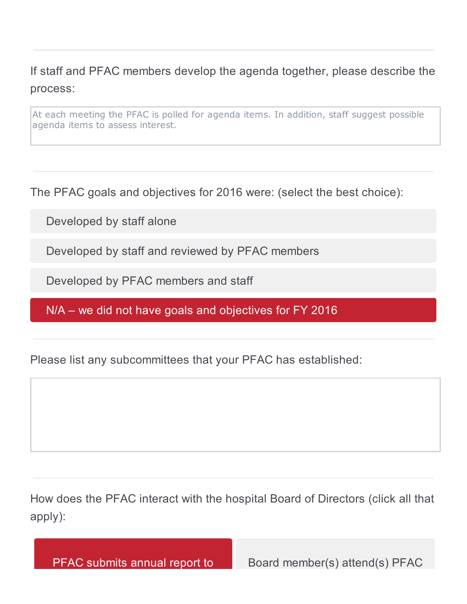If staff and PFAC members develop the agenda together, please describe the process:

At each meeting the PFAC is polled for agenda items. In addition, staff suggest possible agenda items to assess interest.

The PFAC goals and objectives for 2016 were: (select the best choice):

Developed by staff alone

Developed by staff and reviewed by PFAC members

Developed by PFAC members and staff

N/A – we did not have goals and objectives for FY 2016

Please list any subcommittees that your PFAC has established:

How does the PFAC interact with the hospital Board of Directors (click all that apply):

PFAC submits annual report to Board member(s) attend(s) PFAC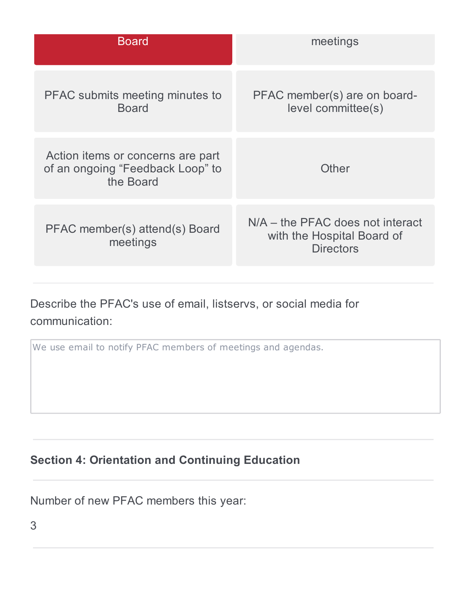| meetings                                                                             |
|--------------------------------------------------------------------------------------|
| PFAC member(s) are on board-<br>level committee(s)                                   |
| Other                                                                                |
| $N/A$ – the PFAC does not interact<br>with the Hospital Board of<br><b>Directors</b> |
|                                                                                      |

Describe the PFAC's use of email, listservs, or social media for communication:

We use email to notify PFAC members of meetings and agendas.

# **Section 4: Orientation and Continuing Education**

Number of new PFAC members this year: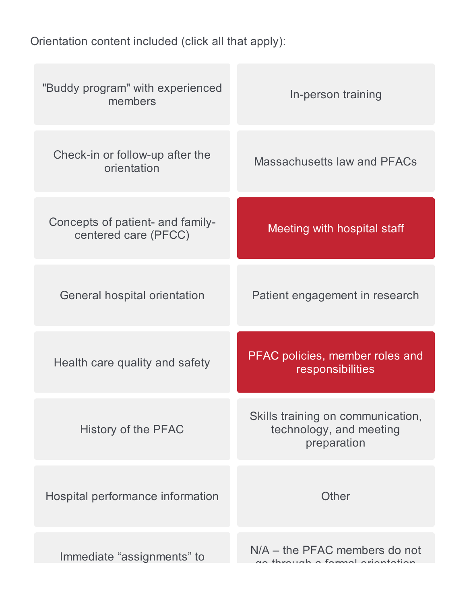Orientation content included (click all that apply):

| "Buddy program" with experienced<br>members              | In-person training                                                          |
|----------------------------------------------------------|-----------------------------------------------------------------------------|
| Check-in or follow-up after the<br>orientation           | Massachusetts law and PFACs                                                 |
| Concepts of patient- and family-<br>centered care (PFCC) | <b>Meeting with hospital staff</b>                                          |
| General hospital orientation                             | Patient engagement in research                                              |
| Health care quality and safety                           | PFAC policies, member roles and<br>responsibilities                         |
| History of the PFAC                                      | Skills training on communication,<br>technology, and meeting<br>preparation |
| Hospital performance information                         | Other                                                                       |
| Immediate "assignments" to                               | $N/A$ – the PFAC members do not<br>no through a formal origination          |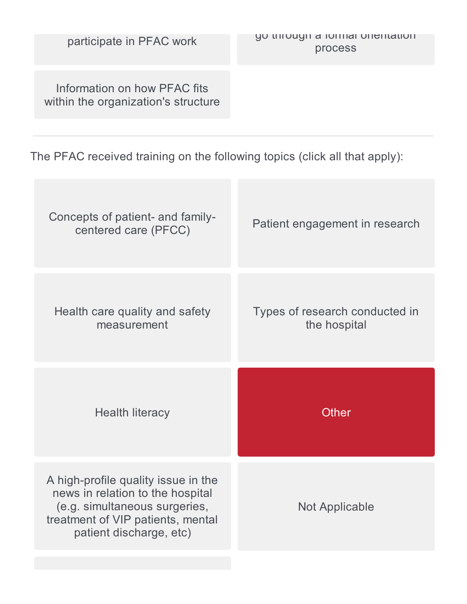Information on how PFAC fits within the organization's structure

The PFAC received training on the following topics (click all that apply):

| Concepts of patient- and family-<br>centered care (PFCC) | Patient engagement in research                 |
|----------------------------------------------------------|------------------------------------------------|
| Health care quality and safety<br>measurement            | Types of research conducted in<br>the hospital |
|                                                          |                                                |
| <b>Health literacy</b>                                   | <b>Other</b>                                   |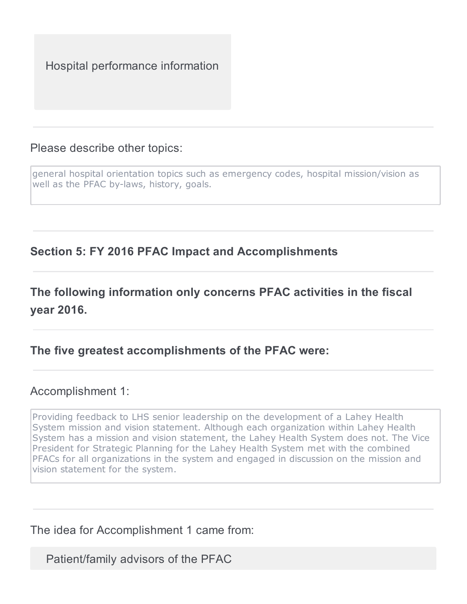Hospital performance information

#### Please describe other topics:

general hospital orientation topics such as emergency codes, hospital mission/vision as well as the PFAC by-laws, history, goals.

## **Section 5: FY 2016 PFAC Impact and Accomplishments**

# **The following information only concerns PFAC activities in the fiscal year 2016.**

#### **The five greatest accomplishments of the PFAC were:**

#### Accomplishment 1:

Providing feedback to LHS senior leadership on the development of a Lahey Health System mission and vision statement. Although each organization within Lahey Health System has a mission and vision statement, the Lahey Health System does not. The Vice President for Strategic Planning for the Lahey Health System met with the combined PFACs for all organizations in the system and engaged in discussion on the mission and vision statement for the system.

#### The idea for Accomplishment 1 came from:

Patient/family advisors of the PFAC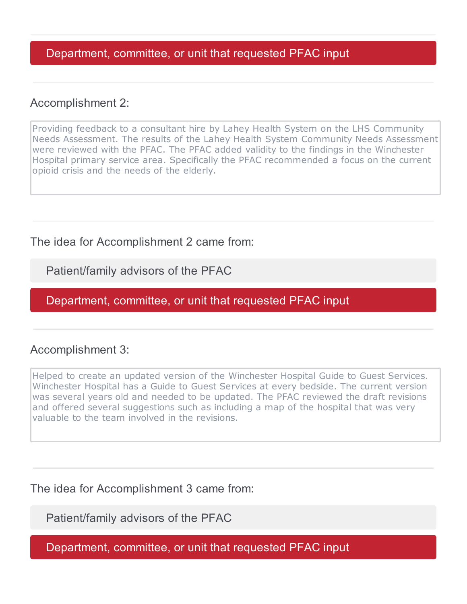#### Department, committee, or unit that requested PFAC input

#### Accomplishment 2:

Providing feedback to a consultant hire by Lahey Health System on the LHS Community Needs Assessment. The results of the Lahey Health System Community Needs Assessment were reviewed with the PFAC. The PFAC added validity to the findings in the Winchester Hospital primary service area. Specifically the PFAC recommended a focus on the current opioid crisis and the needs of the elderly.

The idea for Accomplishment 2 came from:

Patient/family advisors of the PFAC

Department, committee, or unit that requested PFAC input

#### Accomplishment 3:

Helped to create an updated version of the Winchester Hospital Guide to Guest Services. Winchester Hospital has a Guide to Guest Services at every bedside. The current version was several years old and needed to be updated. The PFAC reviewed the draft revisions and offered several suggestions such as including a map of the hospital that was very valuable to the team involved in the revisions.

The idea for Accomplishment 3 came from:

Patient/family advisors of the PFAC

Department, committee, or unit that requested PFAC input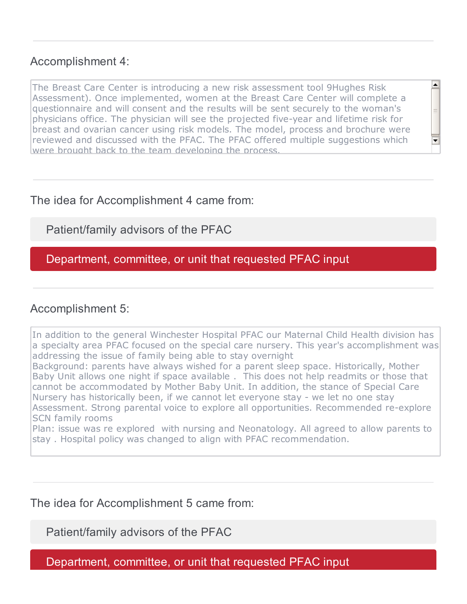#### Accomplishment 4:

The Breast Care Center is introducing a new risk assessment tool 9Hughes Risk Assessment). Once implemented, women at the Breast Care Center will complete a questionnaire and will consent and the results will be sent securely to the woman's physicians office. The physician will see the projected five-year and lifetime risk for breast and ovarian cancer using risk models. The model, process and brochure were reviewed and discussed with the PFAC. The PFAC offered multiple suggestions which were brought back to the team developing the process.

 $\left| \rule{0pt}{10pt} \right.$ 

 $\overline{\blacksquare}$ 

#### The idea for Accomplishment 4 came from:

### Patient/family advisors of the PFAC

#### Department, committee, or unit that requested PFAC input

#### Accomplishment 5:

In addition to the general Winchester Hospital PFAC our Maternal Child Health division has a specialty area PFAC focused on the special care nursery. This year's accomplishment was addressing the issue of family being able to stay overnight Background: parents have always wished for a parent sleep space. Historically, Mother Baby Unit allows one night if space available . This does not help readmits or those that cannot be accommodated by Mother Baby Unit. In addition, the stance of Special Care Nursery has historically been, if we cannot let everyone stay - we let no one stay Assessment. Strong parental voice to explore all opportunities. Recommended re-explore SCN family rooms Plan: issue was re explored with nursing and Neonatology. All agreed to allow parents to

stay . Hospital policy was changed to align with PFAC recommendation.

#### The idea for Accomplishment 5 came from:

Patient/family advisors of the PFAC

Department, committee, or unit that requested PFAC input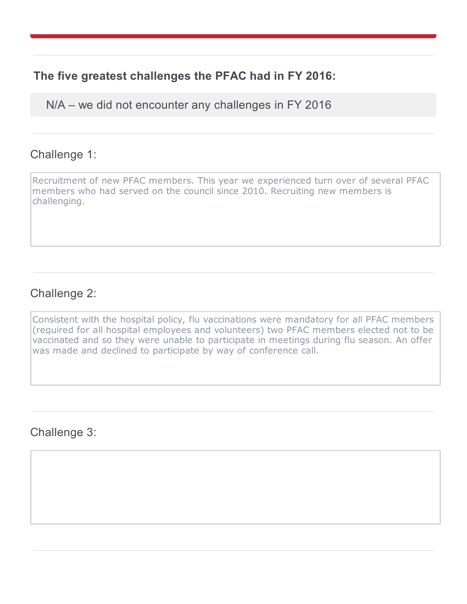### **The five greatest challenges the PFAC had in FY 2016:**

N/A – we did not encounter any challenges in FY 2016

#### Challenge 1:

Recruitment of new PFAC members. This year we experienced turn over of several PFAC members who had served on the council since 2010. Recruiting new members is challenging.

### Challenge 2:

Consistent with the hospital policy, flu vaccinations were mandatory for all PFAC members (required for all hospital employees and volunteers) two PFAC members elected not to be vaccinated and so they were unable to participate in meetings during flu season. An offer was made and declined to participate by way of conference call.

Challenge 3: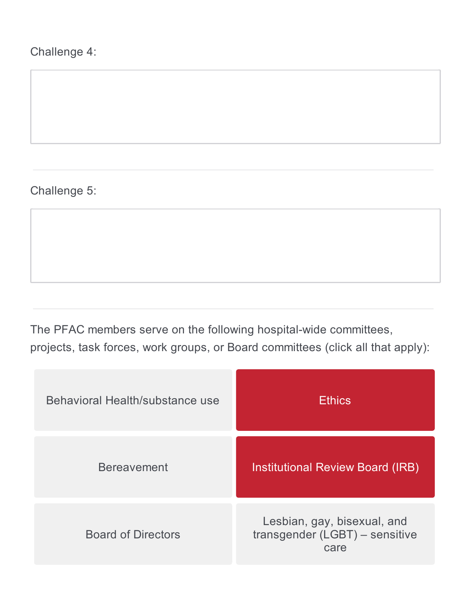# Challenge 4:

## Challenge 5:

The PFAC members serve on the following hospital-wide committees, projects, task forces, work groups, or Board committees (click all that apply):

| Behavioral Health/substance use | <b>Ethics</b>                                                         |
|---------------------------------|-----------------------------------------------------------------------|
| <b>Bereavement</b>              | <b>Institutional Review Board (IRB)</b>                               |
| <b>Board of Directors</b>       | Lesbian, gay, bisexual, and<br>transgender (LGBT) - sensitive<br>care |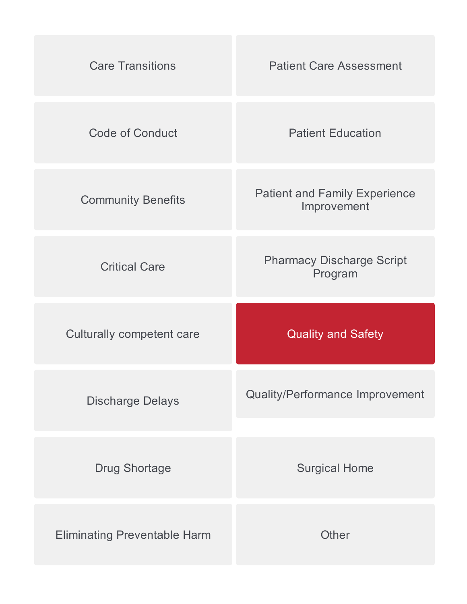| <b>Care Transitions</b>          | <b>Patient Care Assessment</b>                      |
|----------------------------------|-----------------------------------------------------|
| <b>Code of Conduct</b>           | <b>Patient Education</b>                            |
| <b>Community Benefits</b>        | <b>Patient and Family Experience</b><br>Improvement |
| <b>Critical Care</b>             | <b>Pharmacy Discharge Script</b><br>Program         |
|                                  |                                                     |
| <b>Culturally competent care</b> | <b>Quality and Safety</b>                           |
| <b>Discharge Delays</b>          | <b>Quality/Performance Improvement</b>              |
| <b>Drug Shortage</b>             | <b>Surgical Home</b>                                |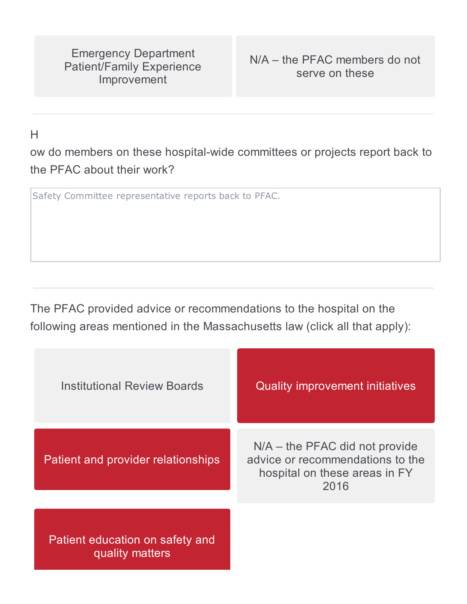Emergency Department Patient/Family Experience Improvement

H

ow do members on these hospital-wide committees or projects report back to the PFAC about their work?

Safety Committee representative reports back to PFAC.

The PFAC provided advice or recommendations to the hospital on the following areas mentioned in the Massachusetts law (click all that apply):

| <b>Institutional Review Boards</b>                 | <b>Quality improvement initiatives</b>                                                                        |
|----------------------------------------------------|---------------------------------------------------------------------------------------------------------------|
| Patient and provider relationships                 | $N/A$ – the PFAC did not provide<br>advice or recommendations to the<br>hospital on these areas in FY<br>2016 |
| Patient education on safety and<br>quality matters |                                                                                                               |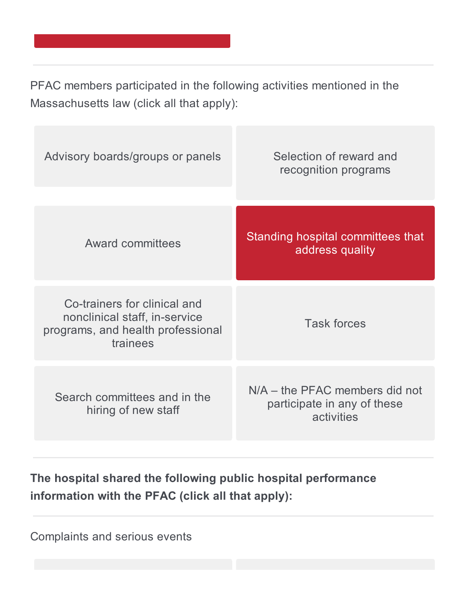PFAC members participated in the following activities mentioned in the Massachusetts law (click all that apply):

| Advisory boards/groups or panels                                                                               | Selection of reward and<br>recognition programs                               |
|----------------------------------------------------------------------------------------------------------------|-------------------------------------------------------------------------------|
| <b>Award committees</b>                                                                                        | Standing hospital committees that<br>address quality                          |
| Co-trainers for clinical and<br>nonclinical staff, in-service<br>programs, and health professional<br>trainees | <b>Task forces</b>                                                            |
| Search committees and in the<br>hiring of new staff                                                            | $N/A$ – the PFAC members did not<br>participate in any of these<br>activities |

**The hospital shared the following public hospital performance information with the PFAC (click all that apply):**

Complaints and serious events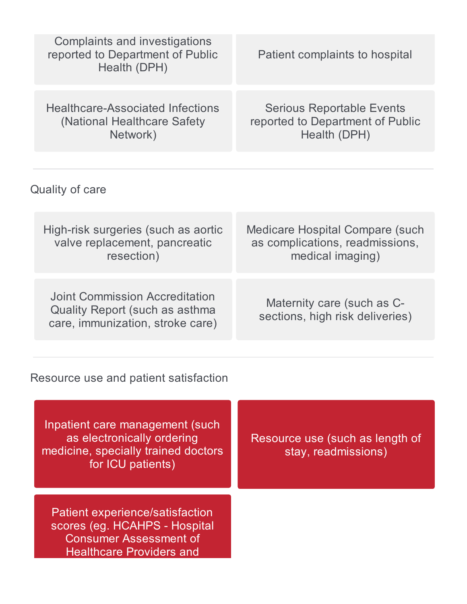| Complaints and investigations<br>reported to Department of Public<br>Health (DPH)                                                    | Patient complaints to hospital                                                                |
|--------------------------------------------------------------------------------------------------------------------------------------|-----------------------------------------------------------------------------------------------|
| <b>Healthcare-Associated Infections</b><br>(National Healthcare Safety)<br>Network)                                                  | <b>Serious Reportable Events</b><br>reported to Department of Public<br>Health (DPH)          |
|                                                                                                                                      |                                                                                               |
| Quality of care                                                                                                                      |                                                                                               |
| High-risk surgeries (such as aortic<br>valve replacement, pancreatic<br>resection)                                                   | <b>Medicare Hospital Compare (such</b><br>as complications, readmissions,<br>medical imaging) |
| Joint Commission Accreditation<br><b>Quality Report (such as asthma</b><br>care, immunization, stroke care)                          | Maternity care (such as C-<br>sections, high risk deliveries)                                 |
|                                                                                                                                      |                                                                                               |
| Resource use and patient satisfaction                                                                                                |                                                                                               |
| Inpatient care management (such<br>as electronically ordering<br>medicine, specially trained doctors<br>for ICU patients)            | Resource use (such as length of<br>stay, readmissions)                                        |
| Patient experience/satisfaction<br>scores (eg. HCAHPS - Hospital<br><b>Consumer Assessment of</b><br><b>Healthcare Providers and</b> |                                                                                               |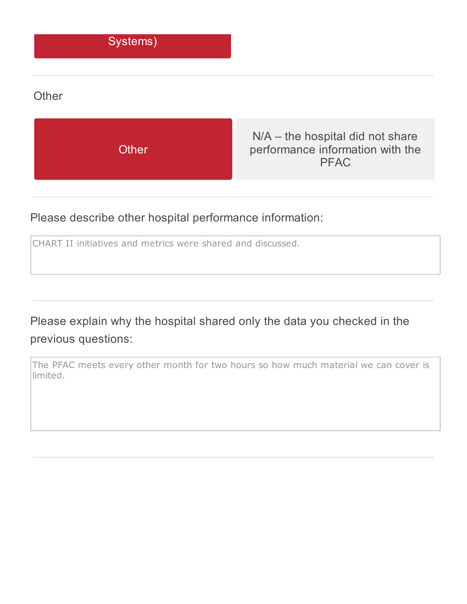#### Systems)

#### **Other**



Please describe other hospital performance information:

CHART II initiatives and metrics were shared and discussed.

Please explain why the hospital shared only the data you checked in the previous questions:

The PFAC meets every other month for two hours so how much material we can cover is limited.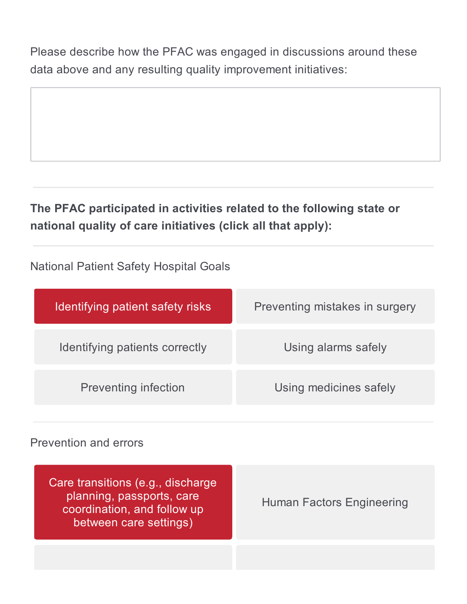Please describe how the PFAC was engaged in discussions around these data above and any resulting quality improvement initiatives:

# **The PFAC participated in activities related to the following state or national quality of care initiatives (click all that apply):**

National Patient Safety Hospital Goals

| Identifying patient safety risks | Preventing mistakes in surgery |
|----------------------------------|--------------------------------|
| Identifying patients correctly   | Using alarms safely            |
| <b>Preventing infection</b>      | Using medicines safely         |

#### Prevention and errors

| Care transitions (e.g., discharge<br>planning, passports, care<br>coordination, and follow up<br>between care settings) | <b>Human Factors Engineering</b> |
|-------------------------------------------------------------------------------------------------------------------------|----------------------------------|
|                                                                                                                         |                                  |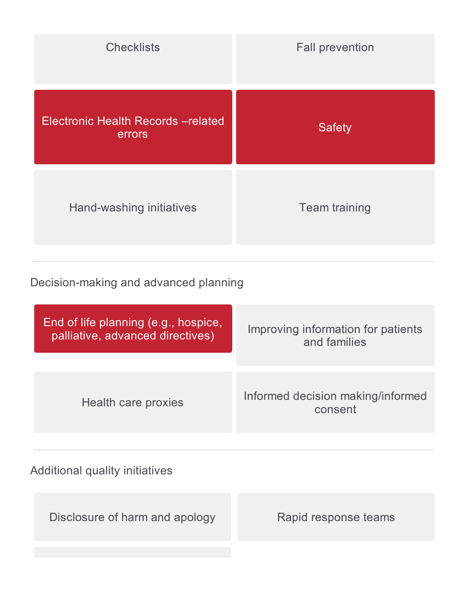| <b>Checklists</b>                           | <b>Fall prevention</b> |
|---------------------------------------------|------------------------|
| Electronic Health Records-related<br>errors | <b>Safety</b>          |
| Hand-washing initiatives                    | <b>Team training</b>   |

# Decision-making and advanced planning

| End of life planning (e.g., hospice, | Improving information for patients           |
|--------------------------------------|----------------------------------------------|
| palliative, advanced directives)     | and families                                 |
| Health care proxies                  | Informed decision making/informed<br>consent |

# Additional quality initiatives

Disclosure of harm and apology Rapid response teams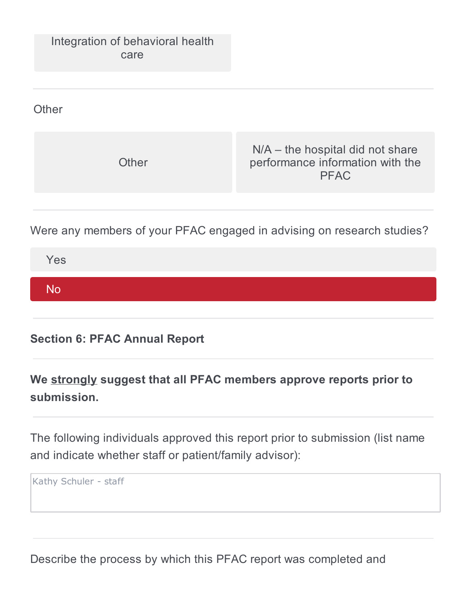

Were any members of your PFAC engaged in advising on research studies?

| Yes |  |  |  |
|-----|--|--|--|
| No  |  |  |  |
|     |  |  |  |

**Section 6: PFAC Annual Report**

**We strongly suggest that all PFAC members approve reports prior to submission.**

The following individuals approved this report prior to submission (list name and indicate whether staff or patient/family advisor):

Kathy Schuler - staff

Describe the process by which this PFAC report was completed and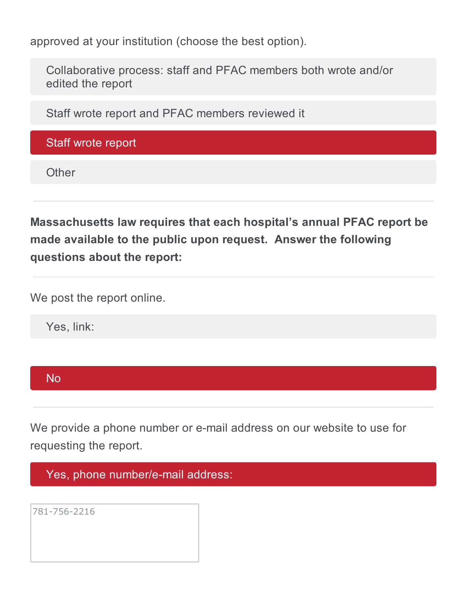approved at your institution (choose the best option).

Collaborative process: staff and PFAC members both wrote and/or edited the report

Staff wrote report and PFAC members reviewed it

Staff wrote report

**Other** 

**Massachusetts law requires that each hospital's annual PFAC report be made available to the public upon request. Answer the following questions about the report:**

We post the report online.

Yes, link:



We provide a phone number or e-mail address on our website to use for requesting the report.

Yes, phone number/e-mail address:

781-756-2216